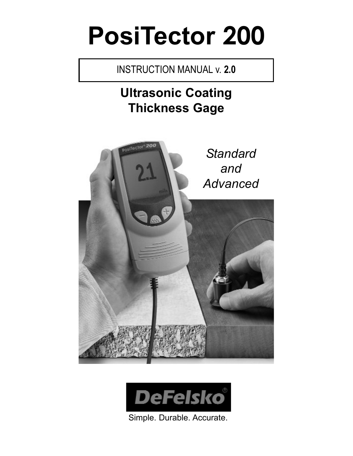# **PosiTector 200**

### INSTRUCTION MANUAL v. **2.0**

## **Ultrasonic Coating Thickness Gage**





Simple. Durable. Accurate.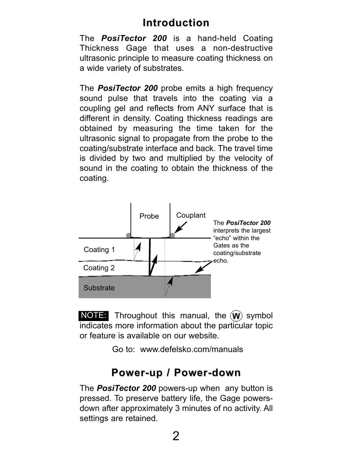### **Introduction Introduction**

The *PosiTector 200* is a hand-held Coating Thickness Gage that uses a non-destructive ultrasonic principle to measure coating thickness on a wide variety of substrates.

The *PosiTector 200* probe emits a high frequency sound pulse that travels into the coating via a coupling gel and reflects from ANY surface that is different in density. Coating thickness readings are obtained by measuring the time taken for the ultrasonic signal to propagate from the probe to the coating/substrate interface and back. The travel time is divided by two and multiplied by the velocity of sound in the coating to obtain the thickness of the coating.



**NOTE:** Throughout this manual, the  $(W)$  symbol indicates more information about the particular topic or feature is available on our website.

Go to: www.defelsko.com/manuals

### **Power-up / Power-down Power-up / Power-down**

The *PosiTector 200* powers-up when any button is pressed. To preserve battery life, the Gage powersdown after approximately 3 minutes of no activity. All settings are retained.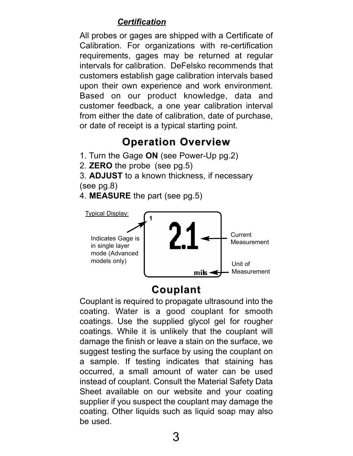#### *Certification*

All probes or gages are shipped with a Certificate of Calibration. For organizations with re-certification requirements, gages may be returned at regular intervals for calibration. DeFelsko recommends that customers establish gage calibration intervals based upon their own experience and work environment. Based on our product knowledge, data and customer feedback, a one year calibration interval from either the date of calibration, date of purchase, or date of receipt is a typical starting point.

### **Operation Overview Operation Overview**

1. Turn the Gage **ON** (see Power-Up pg.2)

2. **ZERO** the probe (see pg.5)

3. **ADJUST** to a known thickness, if necessary (see pg.8)

4. **MEASURE** the part (see pg.5)



#### **Couplant Couplant**

Couplant is required to propagate ultrasound into the coating. Water is a good couplant for smooth coatings. Use the supplied glycol gel for rougher coatings. While it is unlikely that the couplant will damage the finish or leave a stain on the surface, we suggest testing the surface by using the couplant on a sample. If testing indicates that staining has occurred, a small amount of water can be used instead of couplant. Consult the Material Safety Data Sheet available on our website and your coating supplier if you suspect the couplant may damage the coating. Other liquids such as liquid soap may also be used.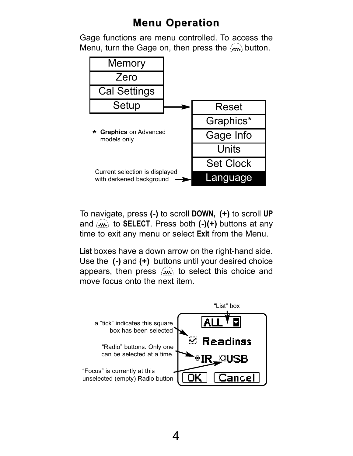### **Menu Operation Menu Operation**

Gage functions are menu controlled. To access the Menu, turn the Gage on, then press the  $(m)$  button.



To navigate, press **(-)** to scroll **DOWN, (+)** to scroll **UP** and  $(x)$  to **SELECT**. Press both (-)(+) buttons at any time to exit any menu or select **Exit** from the Menu.

**List** boxes have a down arrow on the right-hand side. Use the **(-)** and **(+)** buttons until your desired choice appears, then press  $(x, y)$  to select this choice and move focus onto the next item.

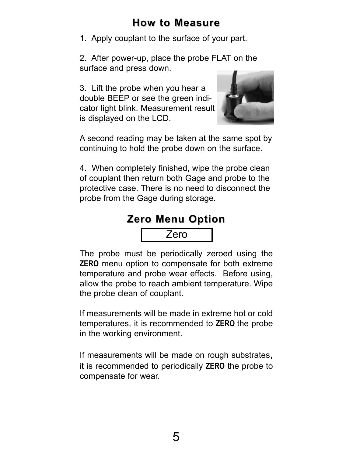### **How to Measure How to Measure**

1. Apply couplant to the surface of your part.

2. After power-up, place the probe FLAT on the surface and press down.

3. Lift the probe when you hear a double BEEP or see the green indicator light blink. Measurement result is displayed on the LCD.



A second reading may be taken at the same spot by continuing to hold the probe down on the surface.

4. When completely finished, wipe the probe clean of couplant then return both Gage and probe to the protective case. There is no need to disconnect the probe from the Gage during storage.

### **Zero Menu Option Zero Menu Option**

Zero

The probe must be periodically zeroed using the **ZERO** menu option to compensate for both extreme temperature and probe wear effects. Before using, allow the probe to reach ambient temperature. Wipe the probe clean of couplant.

If measurements will be made in extreme hot or cold temperatures, it is recommended to **ZERO** the probe in the working environment.

If measurements will be made on rough substrates, it is recommended to periodically **ZERO** the probe to compensate for wear.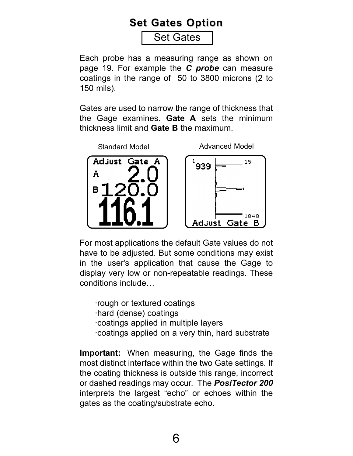### **Set Gates Option Set Gates Option**

Set Gates

Each probe has a measuring range as shown on page 19. For example the *C probe* can measure coatings in the range of 50 to 3800 microns (2 to 150 mils).

Gates are used to narrow the range of thickness that the Gage examines. **Gate A** sets the minimum thickness limit and **Gate B** the maximum.



For most applications the default Gate values do not have to be adjusted. But some conditions may exist in the user's application that cause the Gage to display very low or non-repeatable readings. These conditions include…

·rough or textured coatings ·hard (dense) coatings ·coatings applied in multiple layers ·coatings applied on a very thin, hard substrate

**Important:** When measuring, the Gage finds the most distinct interface within the two Gate settings. If the coating thickness is outside this range, incorrect or dashed readings may occur. The *PosiTector 200* interprets the largest "echo" or echoes within the gates as the coating/substrate echo.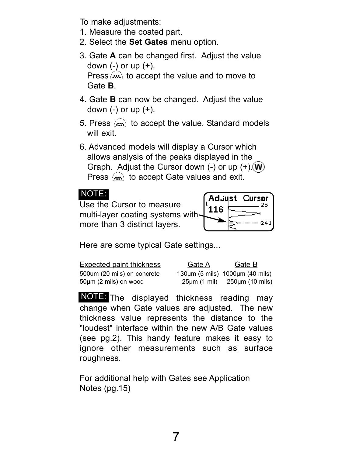To make adjustments:

- 1. Measure the coated part.
- 2. Select the **Set Gates** menu option.
- 3. Gate **A** can be changed first. Adjust the value down  $(-)$  or up  $(+)$ . Press  $(x)$  to accept the value and to move to Gate **B**.
- 4. Gate **B** can now be changed. Adjust the value down  $(-)$  or up  $(+)$ .
- 5. Press  $(x)$  to accept the value. Standard models will exit.
- 6. Advanced models will display a Cursor which allows analysis of the peaks displayed in the Graph. Adjust the Cursor down  $(-)$  or up  $(+)$ .  $(W)$ Press  $(x, \cdot)$  to accept Gate values and exit.

#### NOTE:

Use the Cursor to measure multi-layer coating systems with more than 3 distinct layers.



Here are some typical Gate settings...

| <b>Expected paint thickness</b> | Gate A | Gate B                                      |
|---------------------------------|--------|---------------------------------------------|
| 500um (20 mils) on concrete     |        | 130 $\mu$ m (5 mils) 1000 $\mu$ m (40 mils) |
| 50um (2 mils) on wood           |        | $25\mu m$ (1 mil) $250\mu m$ (10 mils)      |

NOTE: The displayed thickness reading may change when Gate values are adjusted. The new thickness value represents the distance to the "loudest" interface within the new A/B Gate values (see pg.2). This handy feature makes it easy to ignore other measurements such as surface roughness.

For additional help with Gates see Application Notes (pg.15)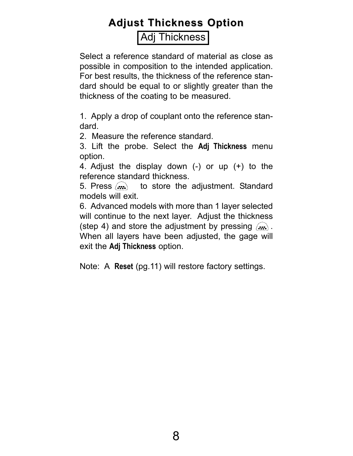### **Adjust Thickness Option Adjust Thickness Option**

#### Adj Thickness

Select a reference standard of material as close as possible in composition to the intended application. For best results, the thickness of the reference standard should be equal to or slightly greater than the thickness of the coating to be measured.

1. Apply a drop of couplant onto the reference standard.

2. Measure the reference standard.

3. Lift the probe. Select the **Adj Thickness** menu option.

4. Adjust the display down (-) or up (+) to the reference standard thickness.

5. Press  $\langle \cdot \cdot \cdot \rangle$  to store the adjustment. Standard models will exit.

6. Advanced models with more than 1 layer selected will continue to the next layer. Adjust the thickness (step 4) and store the adjustment by pressing  $(x, \cdot)$ . When all layers have been adjusted, the gage will exit the **Adj Thickness** option.

Note: A **Reset** (pg.11) will restore factory settings.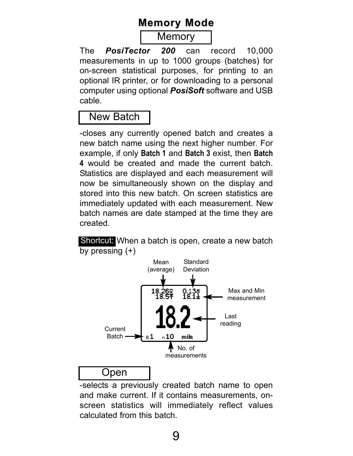### **Memory Mode Memory Mode**

#### **Memory**

The *PosiTector 200* can record 10,000 measurements in up to 1000 groups (batches) for on-screen statistical purposes, for printing to an optional IR printer, or for downloading to a personal computer using optional *PosiSoft* software and USB cable.

### New Batch

-closes any currently opened batch and creates a new batch name using the next higher number. For example, if only **Batch 1** and **Batch 3** exist, then **Batch 4** would be created and made the current batch. Statistics are displayed and each measurement will now be simultaneously shown on the display and stored into this new batch. On screen statistics are immediately updated with each measurement. New batch names are date stamped at the time they are created.

Shortcui: When a batch is open, create a new batch by pressing  $(+)$ 



-selects a previously created batch name to open and make current. If it contains measurements, onscreen statistics will immediately reflect values calculated from this batch.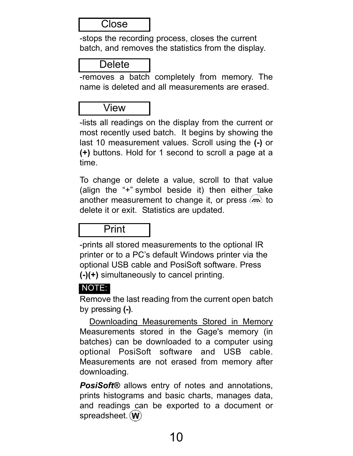#### **Close**

-stops the recording process, closes the current batch, and removes the statistics from the display.

#### **Delete**

-removes a batch completely from memory. The name is deleted and all measurements are erased.

#### View

-lists all readings on the display from the current or most recently used batch. It begins by showing the last 10 measurement values. Scroll using the **(-)** or **(+)** buttons. Hold for 1 second to scroll a page at a time.

To change or delete a value, scroll to that value (align the "+" symbol beside it) then either take another measurement to change it, or press  $\left(\mathbf{m}\right)$  to delete it or exit. Statistics are updated.

#### Print

-prints all stored measurements to the optional IR printer or to a PC's default Windows printer via the optional USB cable and PosiSoft software. Press **(-)(+)** simultaneously to cancel printing.

#### NOTE:

Remove the last reading from the current open batch by pressing **(-)**.

Downloading Measurements Stored in Memory Measurements stored in the Gage's memory (in batches) can be downloaded to a computer using optional PosiSoft software and USB cable. Measurements are not erased from memory after downloading.

*PosiSoft®* allows entry of notes and annotations, prints histograms and basic charts, manages data, and readings can be exported to a document or spreadsheet. (W)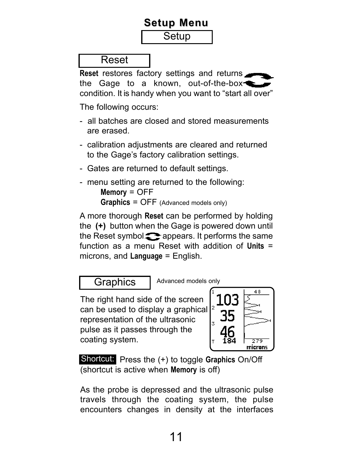### **Setup Menu Setup Menu**

**Setup** 

Reset

**Reset** restores factory settings and returns the Gage to a known, out-of-the-box condition. It is handy when you want to "start all over"

The following occurs:

- all batches are closed and stored measurements are erased.
- calibration adjustments are cleared and returned to the Gage's factory calibration settings.
- Gates are returned to default settings.
- menu setting are returned to the following: **Memory** = OFF **Graphics** = OFF (Advanced models only)

A more thorough **Reset** can be performed by holding the **(+)** button when the Gage is powered down until the Reset symbol  $\triangle$  appears. It performs the same function as a menu Reset with addition of **Units** = microns, and **Language** = English.

Graphics | Advanced models only

The right hand side of the screen can be used to display a graphical representation of the ultrasonic pulse as it passes through the coating system.



Shortcut: Press the (+) to toggle Graphics On/Off (shortcut is active when **Memory** is off)

As the probe is depressed and the ultrasonic pulse travels through the coating system, the pulse encounters changes in density at the interfaces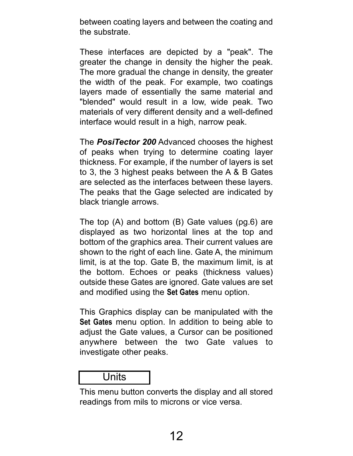between coating layers and between the coating and the substrate.

These interfaces are depicted by a "peak". The greater the change in density the higher the peak. The more gradual the change in density, the greater the width of the peak. For example, two coatings layers made of essentially the same material and "blended" would result in a low, wide peak. Two materials of very different density and a well-defined interface would result in a high, narrow peak.

The *PosiTector 200* Advanced chooses the highest of peaks when trying to determine coating layer thickness. For example, if the number of layers is set to 3, the 3 highest peaks between the A & B Gates are selected as the interfaces between these layers. The peaks that the Gage selected are indicated by black triangle arrows.

The top (A) and bottom (B) Gate values (pg.6) are displayed as two horizontal lines at the top and bottom of the graphics area. Their current values are shown to the right of each line. Gate A, the minimum limit, is at the top. Gate B, the maximum limit, is at the bottom. Echoes or peaks (thickness values) outside these Gates are ignored. Gate values are set and modified using the **Set Gates** menu option.

This Graphics display can be manipulated with the **Set Gates** menu option. In addition to being able to adjust the Gate values, a Cursor can be positioned anywhere between the two Gate values to investigate other peaks.

#### Units

This menu button converts the display and all stored readings from mils to microns or vice versa.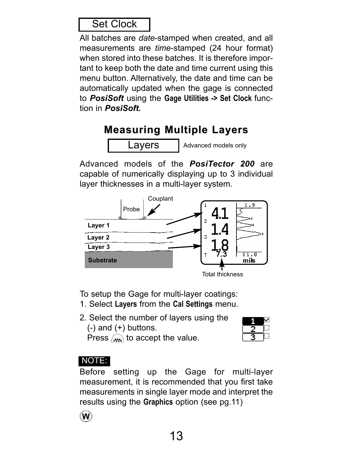### Set Clock

All batches are *date*-stamped when created, and all measurements are *time*-stamped (24 hour format) when stored into these batches. It is therefore important to keep both the date and time current using this menu button. Alternatively, the date and time can be automatically updated when the gage is connected to *PosiSoft* using the **Gage Utilities -> Set Clock** function in *PosiSoft.*

### **Measuring Multiple Layers Measuring Multiple Layers**

Layers

Advanced models only

Advanced models of the *PosiTector 200* are capable of numerically displaying up to 3 individual layer thicknesses in a multi-layer system.



To setup the Gage for multi-layer coatings:

- 1. Select **Layers** from the **Cal Settings** menu.
- 2. Select the number of layers using the  $(-)$  and  $(+)$  buttons. Press  $\binom{n}{n}$  to accept the value.



### NOTE:

Before setting up the Gage for multi-layer measurement, it is recommended that you first take measurements in single layer mode and interpret the results using the **Graphics** option (see pg.11)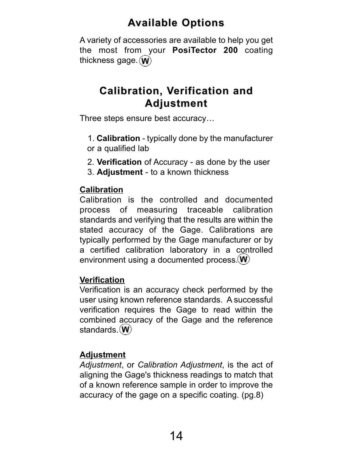### **Available Options vailable Options**

A variety of accessories are available to help you get the most from your **PosiTector 200** coating thickness gage.  $(\mathbf{W})$ 

### **Calibration, V Calibration, Verification and erification and Adjustment Adjustment**

Three steps ensure best accuracy…

- 1. **Calibration**  typically done by the manufacturer or a qualified lab
- 2. **Verification** of Accuracy as done by the user
- 3. **Adjustment**  to a known thickness

#### **Calibration**

Calibration is the controlled and documented process of measuring traceable calibration standards and verifying that the results are within the stated accuracy of the Gage. Calibrations are typically performed by the Gage manufacturer or by a certified calibration laboratory in a controlled environment using a documented process. (W)

#### **Verification**

Verification is an accuracy check performed by the user using known reference standards. A successful verification requires the Gage to read within the combined accuracy of the Gage and the reference standards. (W)

#### **Adjustment**

*Adjustment*, or *Calibration Adjustment*, is the act of aligning the Gage's thickness readings to match that of a known reference sample in order to improve the accuracy of the gage on a specific coating. (pg.8)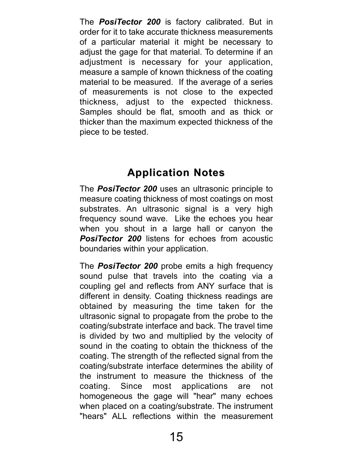The *PosiTector 200* is factory calibrated. But in order for it to take accurate thickness measurements of a particular material it might be necessary to adjust the gage for that material. To determine if an adjustment is necessary for your application, measure a sample of known thickness of the coating material to be measured. If the average of a series of measurements is not close to the expected thickness, adjust to the expected thickness. Samples should be flat, smooth and as thick or thicker than the maximum expected thickness of the piece to be tested.

### **Application Notes Application Notes**

The *PosiTector 200* uses an ultrasonic principle to measure coating thickness of most coatings on most substrates. An ultrasonic signal is a very high frequency sound wave. Like the echoes you hear when you shout in a large hall or canyon the *PosiTector 200* listens for echoes from acoustic boundaries within your application.

The *PosiTector 200* probe emits a high frequency sound pulse that travels into the coating via a coupling gel and reflects from ANY surface that is different in density. Coating thickness readings are obtained by measuring the time taken for the ultrasonic signal to propagate from the probe to the coating/substrate interface and back. The travel time is divided by two and multiplied by the velocity of sound in the coating to obtain the thickness of the coating. The strength of the reflected signal from the coating/substrate interface determines the ability of the instrument to measure the thickness of the coating. Since most applications are not homogeneous the gage will "hear" many echoes when placed on a coating/substrate. The instrument "hears" ALL reflections within the measurement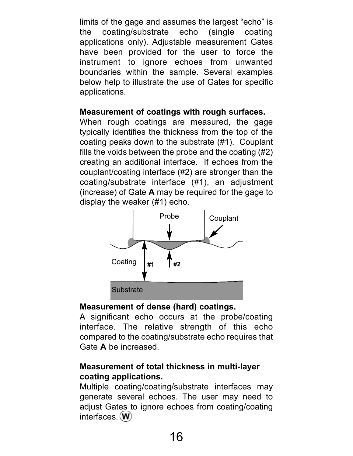limits of the gage and assumes the largest "echo" is the coating/substrate echo (single coating applications only). Adjustable measurement Gates have been provided for the user to force the instrument to ignore echoes from unwanted boundaries within the sample. Several examples below help to illustrate the use of Gates for specific applications.

#### **Measurement of coatings with rough surfaces.**

When rough coatings are measured, the gage typically identifies the thickness from the top of the coating peaks down to the substrate (#1). Couplant fills the voids between the probe and the coating (#2) creating an additional interface. If echoes from the couplant/coating interface (#2) are stronger than the coating/substrate interface (#1), an adjustment (increase) of Gate **A** may be required for the gage to display the weaker (#1) echo.



#### **Measurement of dense (hard) coatings.**

A significant echo occurs at the probe/coating interface. The relative strength of this echo compared to the coating/substrate echo requires that Gate **A** be increased.

#### **Measurement of total thickness in multi-layer coating applications.**

Multiple coating/coating/substrate interfaces may generate several echoes. The user may need to adjust Gates to ignore echoes from coating/coating interfaces. (W)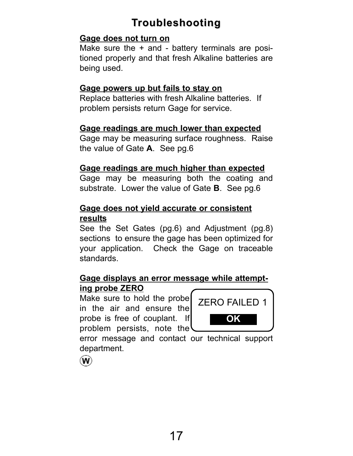### **Troubleshooting roubleshooting**

#### **Gage does not turn on**

Make sure the  $+$  and  $-$  battery terminals are positioned properly and that fresh Alkaline batteries are being used.

#### **Gage powers up but fails to stay on**

Replace batteries with fresh Alkaline batteries. If problem persists return Gage for service.

#### **Gage readings are much lower than expected**

Gage may be measuring surface roughness. Raise the value of Gate **A**. See pg.6

#### **Gage readings are much higher than expected**

Gage may be measuring both the coating and substrate. Lower the value of Gate **B**. See pg.6

#### **Gage does not yield accurate or consistent results**

See the Set Gates (pg.6) and Adjustment (pg.8) sections to ensure the gage has been optimized for your application. Check the Gage on traceable standards.

#### **Gage displays an error message while attempting probe ZERO**

Make sure to hold the probe in the air and ensure the probe is free of couplant. If problem persists, note the



error message and contact our technical support department.

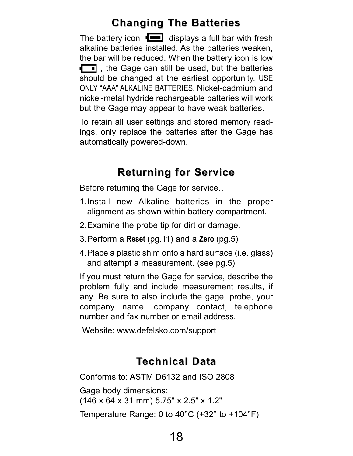### **Changing The Batteries Changing The Batteries**

The battery icon  $\Box$  displays a full bar with fresh alkaline batteries installed. As the batteries weaken, the bar will be reduced. When the battery icon is low  $\Box$ , the Gage can still be used, but the batteries should be changed at the earliest opportunity. USE ONLY "AAA" ALKALINE BATTERIES. Nickel-cadmium and nickel-metal hydride rechargeable batteries will work but the Gage may appear to have weak batteries.

To retain all user settings and stored memory readings, only replace the batteries after the Gage has automatically powered-down.

### **Returning for Service Returning for Service**

Before returning the Gage for service…

- 1.Install new Alkaline batteries in the proper alignment as shown within battery compartment.
- 2.Examine the probe tip for dirt or damage.
- 3.Perform a **Reset** (pg.11) and a **Zero** (pg.5)
- 4.Place a plastic shim onto a hard surface (i.e. glass) and attempt a measurement. (see pg.5)

If you must return the Gage for service, describe the problem fully and include measurement results, if any. Be sure to also include the gage, probe, your company name, company contact, telephone number and fax number or email address.

Website: www.defelsko.com/support

### **Technical Data**

Conforms to: ASTM D6132 and ISO 2808

Gage body dimensions:

(146 x 64 x 31 mm) 5.75" x 2.5" x 1.2"

Temperature Range: 0 to 40°C (+32° to +104°F)

18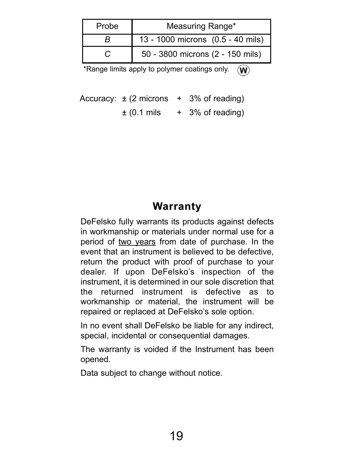| Probe | Measuring Range*                  |  |
|-------|-----------------------------------|--|
|       | 13 - 1000 microns (0.5 - 40 mils) |  |
|       | 50 - 3800 microns (2 - 150 mils)  |  |

\*Range limits apply to polymer coatings only.  $\langle W \rangle$ 

Accuracy:  $\pm$  (2 microns + 3% of reading)  $\pm$  (0.1 mils  $+$  3% of reading)

### **Warranty**

DeFelsko fully warrants its products against defects in workmanship or materials under normal use for a period of two years from date of purchase. In the event that an instrument is believed to be defective, return the product with proof of purchase to your dealer. If upon DeFelsko's inspection of the instrument, it is determined in our sole discretion that the returned instrument is defective as to workmanship or material, the instrument will be repaired or replaced at DeFelsko's sole option.

In no event shall DeFelsko be liable for any indirect, special, incidental or consequential damages.

The warranty is voided if the Instrument has been opened.

Data subject to change without notice.